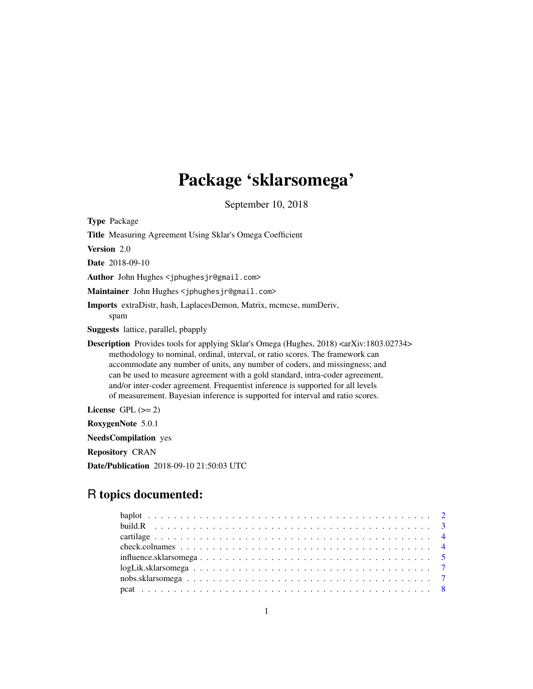## Package 'sklarsomega'

September 10, 2018

<span id="page-0-0"></span>

| <b>Type Package</b>                                                                                                                                                                                                                                                                                                                                                                                                                                                                                                                          |
|----------------------------------------------------------------------------------------------------------------------------------------------------------------------------------------------------------------------------------------------------------------------------------------------------------------------------------------------------------------------------------------------------------------------------------------------------------------------------------------------------------------------------------------------|
| <b>Title</b> Measuring Agreement Using Sklar's Omega Coefficient                                                                                                                                                                                                                                                                                                                                                                                                                                                                             |
| Version 2.0                                                                                                                                                                                                                                                                                                                                                                                                                                                                                                                                  |
| <b>Date</b> 2018-09-10                                                                                                                                                                                                                                                                                                                                                                                                                                                                                                                       |
| Author John Hughes <jphughesjr@gmail.com></jphughesjr@gmail.com>                                                                                                                                                                                                                                                                                                                                                                                                                                                                             |
| Maintainer John Hughes <jphughesjr@gmail.com></jphughesjr@gmail.com>                                                                                                                                                                                                                                                                                                                                                                                                                                                                         |
| Imports extraDistr, hash, LaplacesDemon, Matrix, mcmcse, numDeriv,<br>spam                                                                                                                                                                                                                                                                                                                                                                                                                                                                   |
| <b>Suggests</b> lattice, parallel, pbapply                                                                                                                                                                                                                                                                                                                                                                                                                                                                                                   |
| <b>Description</b> Provides tools for applying Sklar's Omega (Hughes, 2018) <arxiv:1803.02734><br/>methodology to nominal, ordinal, interval, or ratio scores. The framework can<br/>accommodate any number of units, any number of coders, and missingness; and<br/>can be used to measure agreement with a gold standard, intra-coder agreement,<br/>and/or inter-coder agreement. Frequentist inference is supported for all levels<br/>of measurement. Bayesian inference is supported for interval and ratio scores.</arxiv:1803.02734> |
| License $GPL (= 2)$                                                                                                                                                                                                                                                                                                                                                                                                                                                                                                                          |
| RoxygenNote 5.0.1                                                                                                                                                                                                                                                                                                                                                                                                                                                                                                                            |
| <b>NeedsCompilation</b> yes                                                                                                                                                                                                                                                                                                                                                                                                                                                                                                                  |
| <b>Repository CRAN</b>                                                                                                                                                                                                                                                                                                                                                                                                                                                                                                                       |

Date/Publication 2018-09-10 21:50:03 UTC

## R topics documented:

| $logLikksklarsomega \dots \dots \dots \dots \dots \dots \dots \dots \dots \dots \dots \dots \dots \dots \dots \dots$ |  |
|----------------------------------------------------------------------------------------------------------------------|--|
|                                                                                                                      |  |
|                                                                                                                      |  |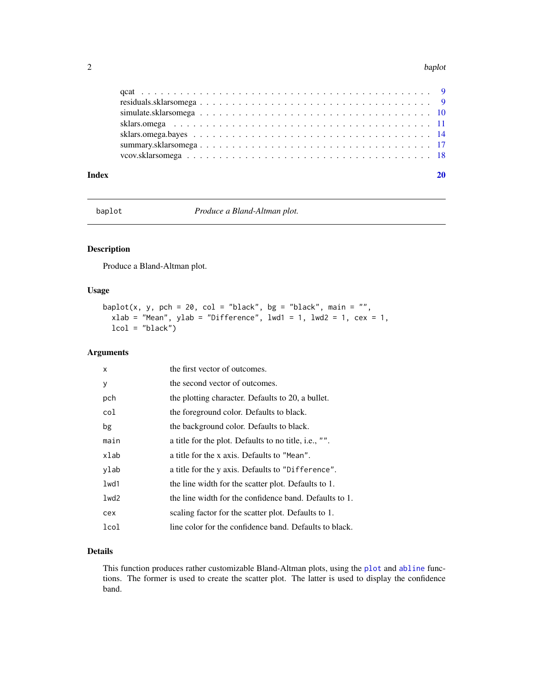#### <span id="page-1-0"></span>2 baplot bank and the set of the set of the set of the set of the set of the set of the set of the set of the set of the set of the set of the set of the set of the set of the set of the set of the set of the set of the se

### $\bf 1$ ndex  $\bf 20$  $\bf 20$

baplot *Produce a Bland-Altman plot.*

## Description

Produce a Bland-Altman plot.

### Usage

```
baplot(x, y, pch = 20, col = "black", bg = "black", main = "",
 xlab = "Mean", ylab = "Difference", lwd1 = 1, lwd2 = 1, cex = 1,
  lcol = "black")
```
### Arguments

| X    | the first vector of outcomes.                          |
|------|--------------------------------------------------------|
| y    | the second vector of outcomes.                         |
| pch  | the plotting character. Defaults to 20, a bullet.      |
| col  | the foreground color. Defaults to black.               |
| bg   | the background color. Defaults to black.               |
| main | a title for the plot. Defaults to no title, i.e., "".  |
| xlab | a title for the x axis. Defaults to "Mean".            |
| ylab | a title for the y axis. Defaults to "Difference".      |
| 1wd1 | the line width for the scatter plot. Defaults to 1.    |
| 1wd2 | the line width for the confidence band. Defaults to 1. |
| cex  | scaling factor for the scatter plot. Defaults to 1.    |
| lcol | line color for the confidence band. Defaults to black. |

### Details

This function produces rather customizable Bland-Altman plots, using the [plot](#page-0-0) and [abline](#page-0-0) functions. The former is used to create the scatter plot. The latter is used to display the confidence band.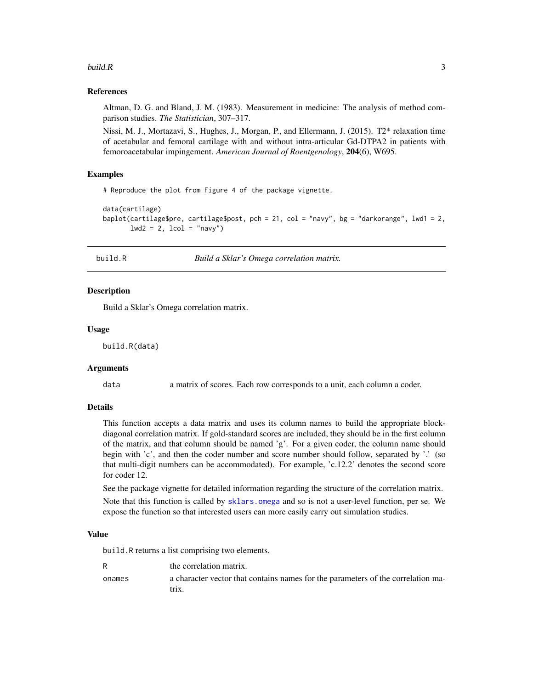#### <span id="page-2-0"></span>build.R  $\sim$  3

### References

Altman, D. G. and Bland, J. M. (1983). Measurement in medicine: The analysis of method comparison studies. *The Statistician*, 307–317.

Nissi, M. J., Mortazavi, S., Hughes, J., Morgan, P., and Ellermann, J. (2015). T2\* relaxation time of acetabular and femoral cartilage with and without intra-articular Gd-DTPA2 in patients with femoroacetabular impingement. *American Journal of Roentgenology*, 204(6), W695.

### Examples

# Reproduce the plot from Figure 4 of the package vignette.

```
data(cartilage)
baplot(cartilage$pre, cartilage$post, pch = 21, col = "navy", bg = "darkorange", lwd1 = 2,
       lwd2 = 2, lcol = "navy")
```
<span id="page-2-1"></span>build.R *Build a Sklar's Omega correlation matrix.*

### Description

Build a Sklar's Omega correlation matrix.

### Usage

build.R(data)

#### Arguments

data a matrix of scores. Each row corresponds to a unit, each column a coder.

### Details

This function accepts a data matrix and uses its column names to build the appropriate blockdiagonal correlation matrix. If gold-standard scores are included, they should be in the first column of the matrix, and that column should be named 'g'. For a given coder, the column name should begin with 'c', and then the coder number and score number should follow, separated by '.' (so that multi-digit numbers can be accommodated). For example, 'c.12.2' denotes the second score for coder 12.

See the package vignette for detailed information regarding the structure of the correlation matrix.

Note that this function is called by [sklars.omega](#page-10-1) and so is not a user-level function, per se. We expose the function so that interested users can more easily carry out simulation studies.

### Value

build.R returns a list comprising two elements.

|        | the correlation matrix.                                                                   |
|--------|-------------------------------------------------------------------------------------------|
| onames | a character vector that contains names for the parameters of the correlation ma-<br>trix. |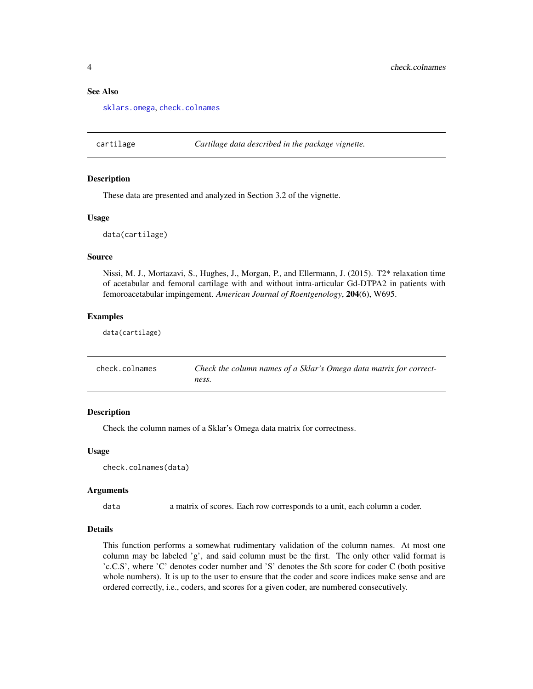### See Also

[sklars.omega](#page-10-1), [check.colnames](#page-3-1)

cartilage *Cartilage data described in the package vignette.*

#### Description

These data are presented and analyzed in Section 3.2 of the vignette.

#### Usage

data(cartilage)

#### Source

Nissi, M. J., Mortazavi, S., Hughes, J., Morgan, P., and Ellermann, J. (2015). T2\* relaxation time of acetabular and femoral cartilage with and without intra-articular Gd-DTPA2 in patients with femoroacetabular impingement. *American Journal of Roentgenology*, 204(6), W695.

#### Examples

data(cartilage)

<span id="page-3-1"></span>

| check.colnames | Check the column names of a Sklar's Omega data matrix for correct- |
|----------------|--------------------------------------------------------------------|
|                | ness.                                                              |

### **Description**

Check the column names of a Sklar's Omega data matrix for correctness.

#### Usage

check.colnames(data)

#### Arguments

data a matrix of scores. Each row corresponds to a unit, each column a coder.

#### Details

This function performs a somewhat rudimentary validation of the column names. At most one column may be labeled 'g', and said column must be the first. The only other valid format is 'c.C.S', where 'C' denotes coder number and 'S' denotes the Sth score for coder C (both positive whole numbers). It is up to the user to ensure that the coder and score indices make sense and are ordered correctly, i.e., coders, and scores for a given coder, are numbered consecutively.

<span id="page-3-0"></span>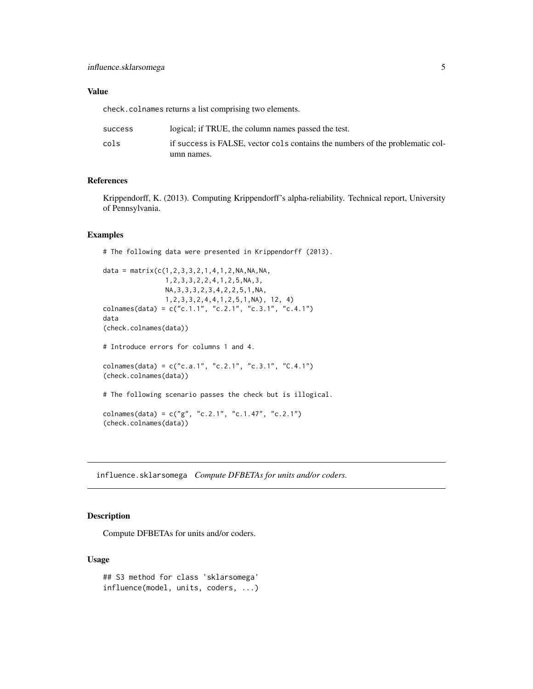### <span id="page-4-0"></span>Value

check.colnames returns a list comprising two elements.

| <b>SUCCESS</b> | logical; if TRUE, the column names passed the test.                           |
|----------------|-------------------------------------------------------------------------------|
| cols           | if success is FALSE, vector cols contains the numbers of the problematic col- |
|                | umn names.                                                                    |

### References

Krippendorff, K. (2013). Computing Krippendorff's alpha-reliability. Technical report, University of Pennsylvania.

### Examples

# The following data were presented in Krippendorff (2013).

```
data = matrix(c(1, 2, 3, 3, 2, 1, 4, 1, 2, NA, NA, NA,1,2,3,3,2,2,4,1,2,5,NA,3,
                NA,3,3,3,2,3,4,2,2,5,1,NA,
                1,2,3,3,2,4,4,1,2,5,1,NA), 12, 4)
colnames(data) = c("c.1.1", "c.2.1", "c.3.1", "c.4.1")
data
(check.colnames(data))
# Introduce errors for columns 1 and 4.
colnames(data) = c("c.a.1", "c.2.1", "c.3.1", "C.4.1")(check.colnames(data))
# The following scenario passes the check but is illogical.
colnames(data) = c("g", "c.2.1", "c.1.47", "c.2.1")
(check.colnames(data))
```
influence.sklarsomega *Compute DFBETAs for units and/or coders.*

### Description

Compute DFBETAs for units and/or coders.

### Usage

```
## S3 method for class 'sklarsomega'
influence(model, units, coders, ...)
```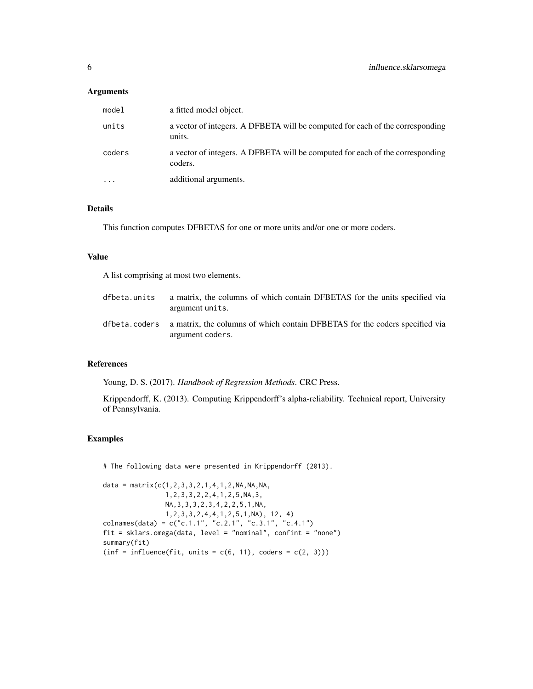### Arguments

| model    | a fitted model object.                                                                   |
|----------|------------------------------------------------------------------------------------------|
| units    | a vector of integers. A DFBETA will be computed for each of the corresponding<br>units.  |
| coders   | a vector of integers. A DFBETA will be computed for each of the corresponding<br>coders. |
| $\cdots$ | additional arguments.                                                                    |

### Details

This function computes DFBETAS for one or more units and/or one or more coders.

#### Value

A list comprising at most two elements.

| dfbeta.units | a matrix, the columns of which contain DFBETAS for the units specified via<br>argument units.                 |
|--------------|---------------------------------------------------------------------------------------------------------------|
|              | dfbeta.coders a matrix, the columns of which contain DFBETAS for the coders specified via<br>argument coders. |

### References

Young, D. S. (2017). *Handbook of Regression Methods*. CRC Press.

Krippendorff, K. (2013). Computing Krippendorff's alpha-reliability. Technical report, University of Pennsylvania.

### Examples

# The following data were presented in Krippendorff (2013).

```
data = matrix(c(1,2,3,3,2,1,4,1,2,NA,NA,NA,
                1,2,3,3,2,2,4,1,2,5,NA,3,
                NA,3,3,3,2,3,4,2,2,5,1,NA,
                1,2,3,3,2,4,4,1,2,5,1,NA), 12, 4)
colnames(data) = c("c.1.1", "c.2.1", "c.3.1", "c.4.1")fit = sklars.omega(data, level = "nominal", confint = "none")
summary(fit)
(inf = influence(fit, units = c(6, 11), coders = c(2, 3)))
```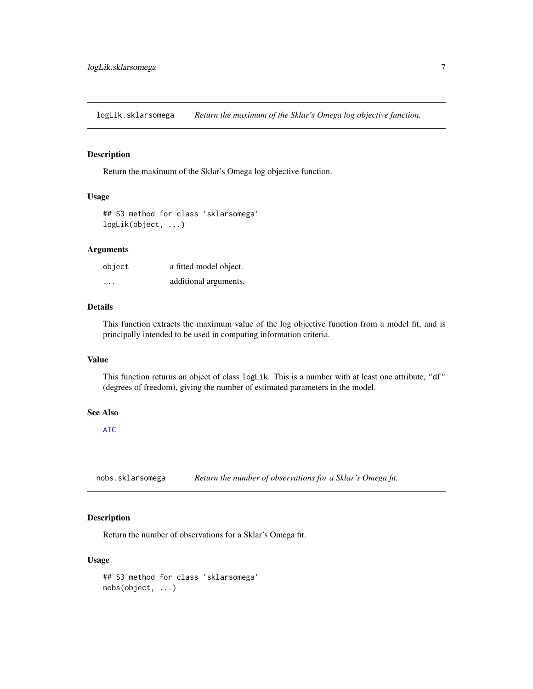<span id="page-6-0"></span>logLik.sklarsomega *Return the maximum of the Sklar's Omega log objective function.*

### Description

Return the maximum of the Sklar's Omega log objective function.

### Usage

```
## S3 method for class 'sklarsomega'
logLik(object, ...)
```
### Arguments

| object                  | a fitted model object. |
|-------------------------|------------------------|
| $\cdot$ $\cdot$ $\cdot$ | additional arguments.  |

### Details

This function extracts the maximum value of the log objective function from a model fit, and is principally intended to be used in computing information criteria.

#### Value

This function returns an object of class logLik. This is a number with at least one attribute, "df" (degrees of freedom), giving the number of estimated parameters in the model.

### See Also

[AIC](#page-0-0)

nobs.sklarsomega *Return the number of observations for a Sklar's Omega fit.*

### Description

Return the number of observations for a Sklar's Omega fit.

#### Usage

```
## S3 method for class 'sklarsomega'
nobs(object, ...)
```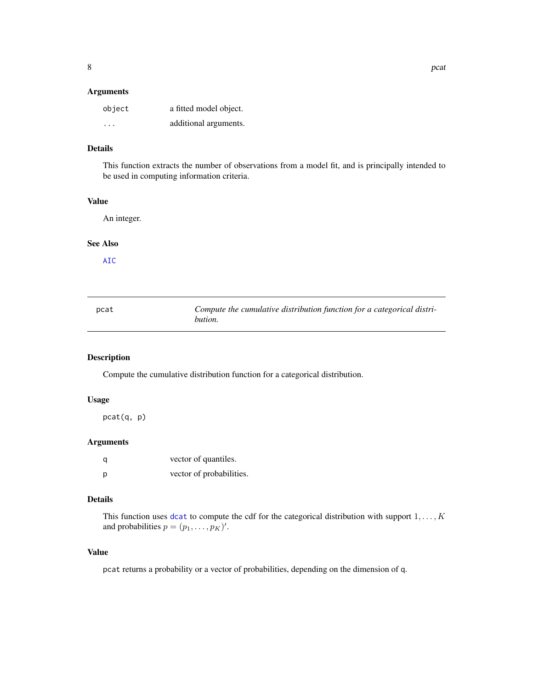### <span id="page-7-0"></span>Arguments

| object                  | a fitted model object. |
|-------------------------|------------------------|
| $\cdot$ $\cdot$ $\cdot$ | additional arguments.  |

### Details

This function extracts the number of observations from a model fit, and is principally intended to be used in computing information criteria.

### Value

An integer.

### See Also

[AIC](#page-0-0)

| pcat | Compute the cumulative distribution function for a categorical distri- |
|------|------------------------------------------------------------------------|
|      | bution.                                                                |

### Description

Compute the cumulative distribution function for a categorical distribution.

### Usage

pcat(q, p)

### Arguments

| q | vector of quantiles.     |
|---|--------------------------|
| p | vector of probabilities. |

### Details

This function uses [dcat](#page-0-0) to compute the cdf for the categorical distribution with support  $1, \ldots, K$ and probabilities  $p = (p_1, \dots, p_K)'$ .

### Value

pcat returns a probability or a vector of probabilities, depending on the dimension of q.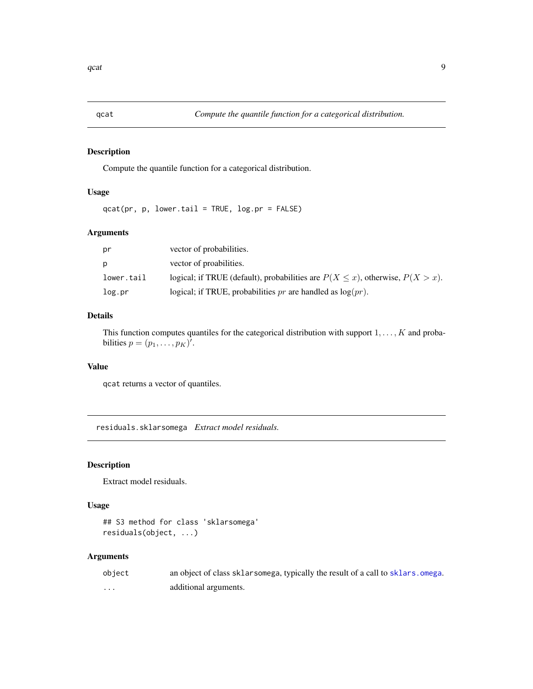<span id="page-8-0"></span>

### Description

Compute the quantile function for a categorical distribution.

### Usage

 $qcat(pr, p, lower.tail = TRUE, log.pr = FALSE)$ 

### Arguments

| pr         | vector of probabilities.                                                             |
|------------|--------------------------------------------------------------------------------------|
| p          | vector of proabilities.                                                              |
| lower.tail | logical; if TRUE (default), probabilities are $P(X \le x)$ , otherwise, $P(X > x)$ . |
| log.pr     | logical; if TRUE, probabilities pr are handled as $log(pr)$ .                        |

### Details

This function computes quantiles for the categorical distribution with support  $1, \ldots, K$  and probabilities  $p = (p_1, \ldots, p_K)'$ .

### Value

qcat returns a vector of quantiles.

residuals.sklarsomega *Extract model residuals.*

### Description

Extract model residuals.

### Usage

```
## S3 method for class 'sklarsomega'
residuals(object, ...)
```
### Arguments

| object | an object of class sklarsomega, typically the result of a call to sklars. omega. |
|--------|----------------------------------------------------------------------------------|
| .      | additional arguments.                                                            |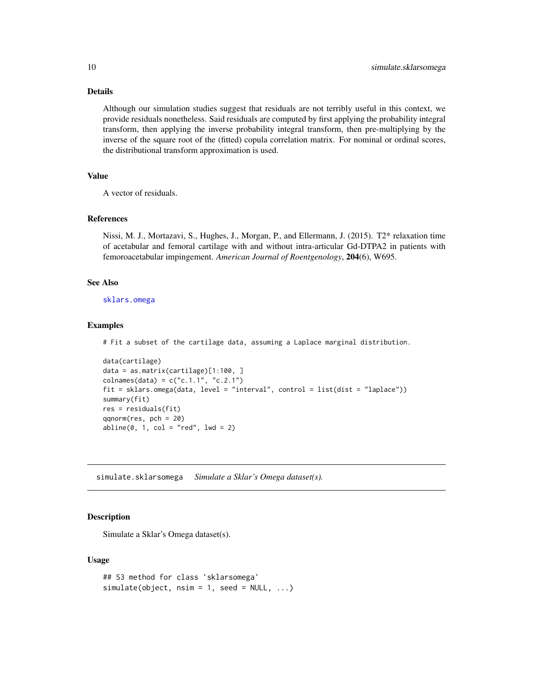### Details

Although our simulation studies suggest that residuals are not terribly useful in this context, we provide residuals nonetheless. Said residuals are computed by first applying the probability integral transform, then applying the inverse probability integral transform, then pre-multiplying by the inverse of the square root of the (fitted) copula correlation matrix. For nominal or ordinal scores, the distributional transform approximation is used.

#### Value

A vector of residuals.

#### References

Nissi, M. J., Mortazavi, S., Hughes, J., Morgan, P., and Ellermann, J. (2015). T2\* relaxation time of acetabular and femoral cartilage with and without intra-articular Gd-DTPA2 in patients with femoroacetabular impingement. *American Journal of Roentgenology*, 204(6), W695.

#### See Also

[sklars.omega](#page-10-1)

#### Examples

# Fit a subset of the cartilage data, assuming a Laplace marginal distribution.

```
data(cartilage)
data = as.matrix(cartilage)[1:100, ]
colnames(data) = c("c.1.1", "c.2.1")fit = sklars.omega(data, level = "interval", control = list(dist = "laplace"))
summary(fit)
res = residuals(fit)
qqnorm(res, pch = 20)
abline(0, 1, col = "red", lwd = 2)
```
simulate.sklarsomega *Simulate a Sklar's Omega dataset(s).*

### **Description**

Simulate a Sklar's Omega dataset(s).

#### Usage

```
## S3 method for class 'sklarsomega'
simulate(object, nsim = 1, seed = NULL, ...)
```
<span id="page-9-0"></span>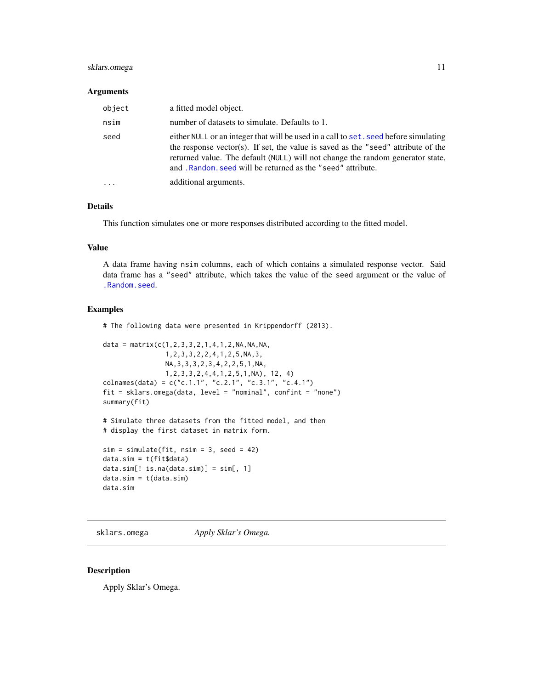### <span id="page-10-0"></span>sklars.omega 11

### Arguments

| object   | a fitted model object.                                                                                                                                                                                                                                                                                                      |
|----------|-----------------------------------------------------------------------------------------------------------------------------------------------------------------------------------------------------------------------------------------------------------------------------------------------------------------------------|
| nsim     | number of datasets to simulate. Defaults to 1.                                                                                                                                                                                                                                                                              |
| seed     | either NULL or an integer that will be used in a call to set, seed before simulating<br>the response vector(s). If set, the value is saved as the "seed" attribute of the<br>returned value. The default (NULL) will not change the random generator state,<br>and . Random, seed will be returned as the "seed" attribute. |
| $\cdots$ | additional arguments.                                                                                                                                                                                                                                                                                                       |

### Details

This function simulates one or more responses distributed according to the fitted model.

#### Value

A data frame having nsim columns, each of which contains a simulated response vector. Said data frame has a "seed" attribute, which takes the value of the seed argument or the value of [.Random.seed](#page-0-0).

#### Examples

# The following data were presented in Krippendorff (2013).

```
data = matrix(c(1,2,3,3,2,1,4,1,2,NA,NA,NA,
               1,2,3,3,2,2,4,1,2,5,NA,3,
               NA,3,3,3,2,3,4,2,2,5,1,NA,
               1,2,3,3,2,4,4,1,2,5,1,NA), 12, 4)
colnames(data) = c("c.1.1", "c.2.1", "c.3.1", "c.4.1")fit = sklars.omega(data, level = "nominal", confint = "none")
summary(fit)
```

```
# Simulate three datasets from the fitted model, and then
# display the first dataset in matrix form.
```

```
sim = simulate(fit, nsim = 3, seed = 42)data.sim = t(fit$data)
data.sim[! is.na(data.sim)] = sim[, 1]
data.sim = t(data.sim)
data.sim
```
<span id="page-10-1"></span>sklars.omega *Apply Sklar's Omega.*

### Description

Apply Sklar's Omega.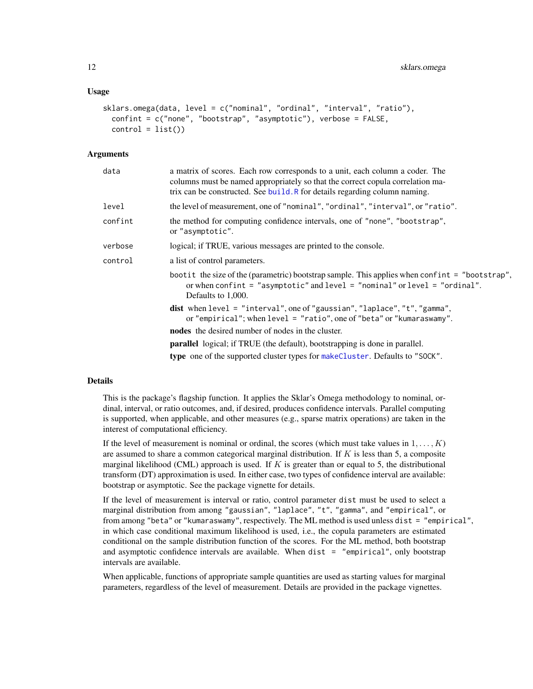```
sklars.omega(data, level = c("nominal", "ordinal", "interval", "ratio"),
 confint = c("none", "bootstrap", "asymptotic"), verbose = FALSE,
 control = list()
```
#### Arguments

| data    | a matrix of scores. Each row corresponds to a unit, each column a coder. The<br>columns must be named appropriately so that the correct copula correlation ma-<br>trix can be constructed. See build. R for details regarding column naming. |  |
|---------|----------------------------------------------------------------------------------------------------------------------------------------------------------------------------------------------------------------------------------------------|--|
| level   | the level of measurement, one of "nominal", "ordinal", "interval", or "ratio".                                                                                                                                                               |  |
| confint | the method for computing confidence intervals, one of "none", "bootstrap",<br>or "asymptotic".                                                                                                                                               |  |
| verbose | logical; if TRUE, various messages are printed to the console.                                                                                                                                                                               |  |
| control | a list of control parameters.                                                                                                                                                                                                                |  |
|         | bootit the size of the (parametric) bootstrap sample. This applies when confint = "bootstrap",<br>or when confint = "asymptotic" and level = "nominal" or level = "ordinal".<br>Defaults to 1,000.                                           |  |
|         | dist when $level = "interval", one of "gaussian", "laplace", "t", "gamma",$<br>or "empirical"; when $level = "ratio", one of "beta" or "kumaraswamy".$                                                                                       |  |
|         | <b>nodes</b> the desired number of nodes in the cluster.                                                                                                                                                                                     |  |
|         | <b>parallel</b> logical; if TRUE (the default), bootstrapping is done in parallel.                                                                                                                                                           |  |
|         | type one of the supported cluster types for make Cluster. Defaults to "SOCK".                                                                                                                                                                |  |

#### Details

This is the package's flagship function. It applies the Sklar's Omega methodology to nominal, ordinal, interval, or ratio outcomes, and, if desired, produces confidence intervals. Parallel computing is supported, when applicable, and other measures (e.g., sparse matrix operations) are taken in the interest of computational efficiency.

If the level of measurement is nominal or ordinal, the scores (which must take values in  $1, \ldots, K$ ) are assumed to share a common categorical marginal distribution. If  $K$  is less than 5, a composite marginal likelihood (CML) approach is used. If  $K$  is greater than or equal to 5, the distributional transform (DT) approximation is used. In either case, two types of confidence interval are available: bootstrap or asymptotic. See the package vignette for details.

If the level of measurement is interval or ratio, control parameter dist must be used to select a marginal distribution from among "gaussian", "laplace", "t", "gamma", and "empirical", or from among "beta" or "kumaraswamy", respectively. The ML method is used unless dist = "empirical", in which case conditional maximum likelihood is used, i.e., the copula parameters are estimated conditional on the sample distribution function of the scores. For the ML method, both bootstrap and asymptotic confidence intervals are available. When dist  $=$  "empirical", only bootstrap intervals are available.

When applicable, functions of appropriate sample quantities are used as starting values for marginal parameters, regardless of the level of measurement. Details are provided in the package vignettes.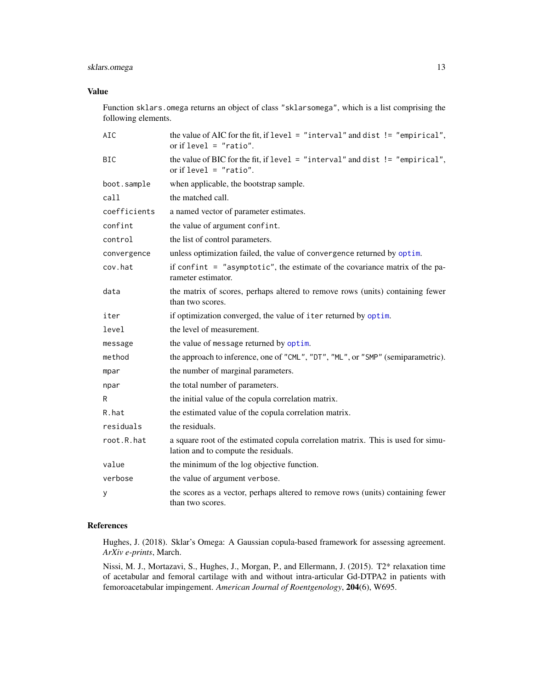### <span id="page-12-0"></span>sklars.omega 13

### Value

Function sklars.omega returns an object of class "sklarsomega", which is a list comprising the following elements.

| AIC          | the value of AIC for the fit, if $level = "interval"$ and dist $!= "empirical",$<br>or if $level = "ratio".$             |  |
|--------------|--------------------------------------------------------------------------------------------------------------------------|--|
| <b>BIC</b>   | the value of BIC for the fit, if $level = "interval"$ and dist $!= "empirical",$<br>or if $level = "ratio".$             |  |
| boot.sample  | when applicable, the bootstrap sample.                                                                                   |  |
| call         | the matched call.                                                                                                        |  |
| coefficients | a named vector of parameter estimates.                                                                                   |  |
| confint      | the value of argument confint.                                                                                           |  |
| control      | the list of control parameters.                                                                                          |  |
| convergence  | unless optimization failed, the value of convergence returned by optim.                                                  |  |
| cov.hat      | if confint $=$ "asymptotic", the estimate of the covariance matrix of the pa-<br>rameter estimator.                      |  |
| data         | the matrix of scores, perhaps altered to remove rows (units) containing fewer<br>than two scores.                        |  |
| iter         | if optimization converged, the value of iter returned by optim.                                                          |  |
| level        | the level of measurement.                                                                                                |  |
| message      | the value of message returned by optim.                                                                                  |  |
| method       | the approach to inference, one of "CML", "DT", "ML", or "SMP" (semiparametric).                                          |  |
| mpar         | the number of marginal parameters.                                                                                       |  |
| npar         | the total number of parameters.                                                                                          |  |
| R            | the initial value of the copula correlation matrix.                                                                      |  |
| R.hat        | the estimated value of the copula correlation matrix.                                                                    |  |
| residuals    | the residuals.                                                                                                           |  |
| root.R.hat   | a square root of the estimated copula correlation matrix. This is used for simu-<br>lation and to compute the residuals. |  |
| value        | the minimum of the log objective function.                                                                               |  |
| verbose      | the value of argument verbose.                                                                                           |  |
| у            | the scores as a vector, perhaps altered to remove rows (units) containing fewer<br>than two scores.                      |  |

### References

Hughes, J. (2018). Sklar's Omega: A Gaussian copula-based framework for assessing agreement. *ArXiv e-prints*, March.

Nissi, M. J., Mortazavi, S., Hughes, J., Morgan, P., and Ellermann, J. (2015). T2\* relaxation time of acetabular and femoral cartilage with and without intra-articular Gd-DTPA2 in patients with femoroacetabular impingement. *American Journal of Roentgenology*, 204(6), W695.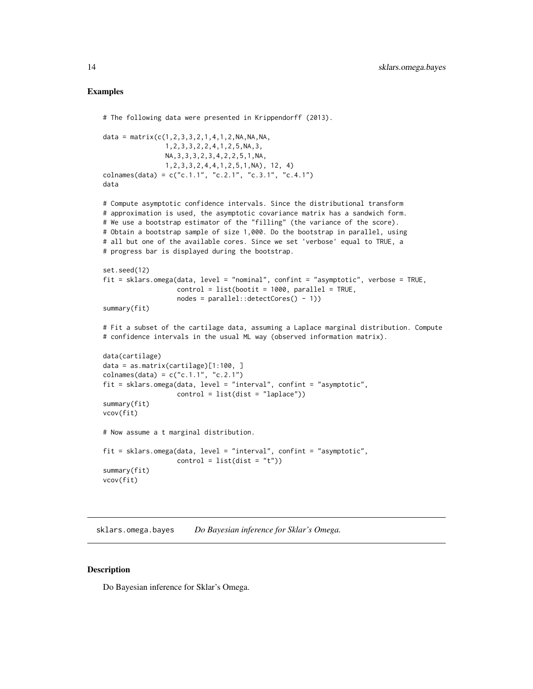#### <span id="page-13-0"></span>Examples

```
# The following data were presented in Krippendorff (2013).
data = matrix(c(1, 2, 3, 3, 2, 1, 4, 1, 2, NA, NA, NA,1,2,3,3,2,2,4,1,2,5,NA,3,
                NA,3,3,3,2,3,4,2,2,5,1,NA,
                1,2,3,3,2,4,4,1,2,5,1,NA), 12, 4)
colnames(data) = c("c.1.1", "c.2.1", "c.3.1", "c.4.1")
data
# Compute asymptotic confidence intervals. Since the distributional transform
# approximation is used, the asymptotic covariance matrix has a sandwich form.
# We use a bootstrap estimator of the "filling" (the variance of the score).
# Obtain a bootstrap sample of size 1,000. Do the bootstrap in parallel, using
# all but one of the available cores. Since we set 'verbose' equal to TRUE, a
# progress bar is displayed during the bootstrap.
set.seed(12)
fit = sklars.omega(data, level = "nominal", confint = "asymptotic", verbose = TRUE,
                   control = list(bootit = 1000, parallel = TRUE,nodes = parallel::detectCores() - 1))
summary(fit)
# Fit a subset of the cartilage data, assuming a Laplace marginal distribution. Compute
# confidence intervals in the usual ML way (observed information matrix).
data(cartilage)
data = as.matrix(cartilage)[1:100, ]
colnames(data) = c("c.1.1", "c.2.1")fit = sklars.omega(data, level = "interval", confint = "asymptotic",
                   control = list(dist = "laplace"))summary(fit)
vcov(fit)
# Now assume a t marginal distribution.
fit = sklars.omega(data, level = "interval", confint = "asymptotic",
                   control = list(dist = "t")summary(fit)
vcov(fit)
```
sklars.omega.bayes *Do Bayesian inference for Sklar's Omega.*

### Description

Do Bayesian inference for Sklar's Omega.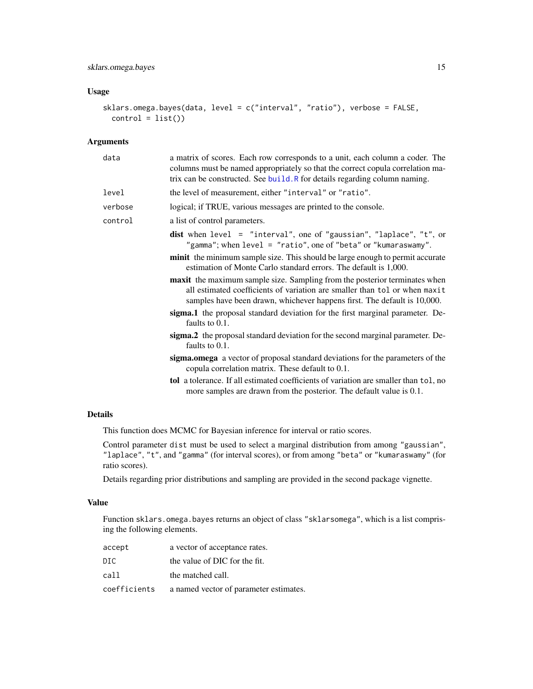### <span id="page-14-0"></span>Usage

```
sklars.omega.bayes(data, level = c("interval", "ratio"), verbose = FALSE,
 control = list()
```
### Arguments

| a matrix of scores. Each row corresponds to a unit, each column a coder. The<br>columns must be named appropriately so that the correct copula correlation ma-<br>trix can be constructed. See build. R for details regarding column naming. |  |
|----------------------------------------------------------------------------------------------------------------------------------------------------------------------------------------------------------------------------------------------|--|
| the level of measurement, either "interval" or "ratio".                                                                                                                                                                                      |  |
| logical; if TRUE, various messages are printed to the console.                                                                                                                                                                               |  |
| a list of control parameters.                                                                                                                                                                                                                |  |
| dist when level = "interval", one of "gaussian", "laplace", "t", or<br>"gamma"; when level = "ratio", one of "beta" or "kumaraswamy".                                                                                                        |  |
| minit the minimum sample size. This should be large enough to permit accurate<br>estimation of Monte Carlo standard errors. The default is 1,000.                                                                                            |  |
| <b>maxit</b> the maximum sample size. Sampling from the posterior terminates when<br>all estimated coefficients of variation are smaller than tol or when maxit<br>samples have been drawn, whichever happens first. The default is 10,000.  |  |
| sigma.1 the proposal standard deviation for the first marginal parameter. De-<br>faults to 0.1.                                                                                                                                              |  |
| sigma.2 the proposal standard deviation for the second marginal parameter. De-<br>faults to 0.1.                                                                                                                                             |  |
| sigma.omega a vector of proposal standard deviations for the parameters of the<br>copula correlation matrix. These default to 0.1.                                                                                                           |  |
| <b>tol</b> a tolerance. If all estimated coefficients of variation are smaller than tol, no<br>more samples are drawn from the posterior. The default value is 0.1.                                                                          |  |
|                                                                                                                                                                                                                                              |  |

### Details

This function does MCMC for Bayesian inference for interval or ratio scores.

Control parameter dist must be used to select a marginal distribution from among "gaussian", "laplace", "t", and "gamma" (for interval scores), or from among "beta" or "kumaraswamy" (for ratio scores).

Details regarding prior distributions and sampling are provided in the second package vignette.

### Value

Function sklars.omega.bayes returns an object of class "sklarsomega", which is a list comprising the following elements.

| accept       | a vector of acceptance rates.          |
|--------------|----------------------------------------|
| DIC.         | the value of DIC for the fit.          |
| call         | the matched call.                      |
| coefficients | a named vector of parameter estimates. |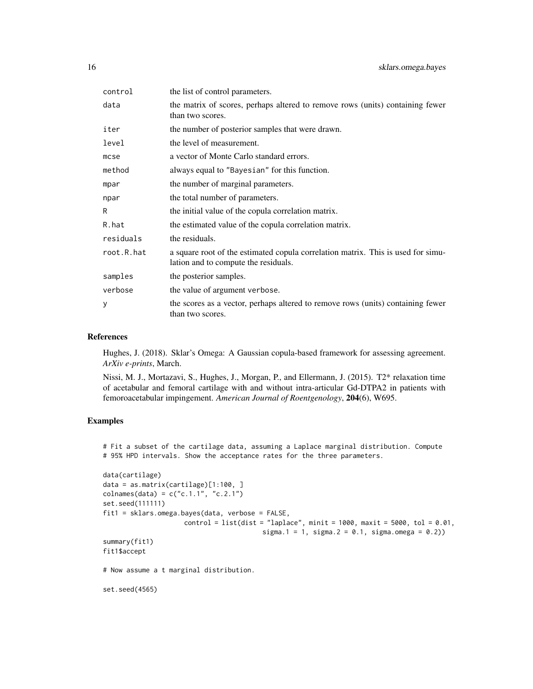| control    | the list of control parameters.                                                                                          |  |
|------------|--------------------------------------------------------------------------------------------------------------------------|--|
| data       | the matrix of scores, perhaps altered to remove rows (units) containing fewer<br>than two scores.                        |  |
| iter       | the number of posterior samples that were drawn.                                                                         |  |
| level      | the level of measurement.                                                                                                |  |
| $m$ cse    | a vector of Monte Carlo standard errors.                                                                                 |  |
| method     | always equal to "Bayesian" for this function.                                                                            |  |
| mpar       | the number of marginal parameters.                                                                                       |  |
| npar       | the total number of parameters.                                                                                          |  |
| R          | the initial value of the copula correlation matrix.                                                                      |  |
| R.hat      | the estimated value of the copula correlation matrix.                                                                    |  |
| residuals  | the residuals.                                                                                                           |  |
| root.R.hat | a square root of the estimated copula correlation matrix. This is used for simu-<br>lation and to compute the residuals. |  |
| samples    | the posterior samples.                                                                                                   |  |
| verbose    | the value of argument verbose.                                                                                           |  |
| У          | the scores as a vector, perhaps altered to remove rows (units) containing fewer<br>than two scores.                      |  |

#### References

Hughes, J. (2018). Sklar's Omega: A Gaussian copula-based framework for assessing agreement. *ArXiv e-prints*, March.

Nissi, M. J., Mortazavi, S., Hughes, J., Morgan, P., and Ellermann, J. (2015). T2\* relaxation time of acetabular and femoral cartilage with and without intra-articular Gd-DTPA2 in patients with femoroacetabular impingement. *American Journal of Roentgenology*, 204(6), W695.

### Examples

```
# Fit a subset of the cartilage data, assuming a Laplace marginal distribution. Compute
# 95% HPD intervals. Show the acceptance rates for the three parameters.
```

```
data(cartilage)
data = as.matrix(cartilage)[1:100, ]
colnames(data) = c("c.1.1", "c.2.1")set.seed(111111)
fit1 = sklars.omega.bayes(data, verbose = FALSE,
                    control = list(dist = "laplace", minit = 1000, maxit = 5000, tol = 0.01,
                                         sigma.1 = 1, sigma.2 = 0.1, sigma.omega = 0.2)
summary(fit1)
fit1$accept
# Now assume a t marginal distribution.
set.seed(4565)
```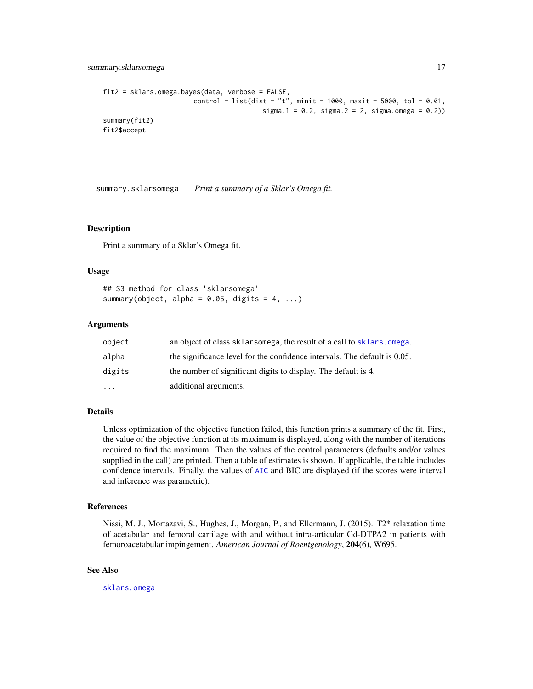```
fit2 = sklars.omega.bayes(data, verbose = FALSE,
                       control = list(dist = "t", minit = 1000, maxit = 5000, tol = 0.01,
                                         sigma.1 = 0.2, sigma.2 = 2, sigma.omega = 0.2))
summary(fit2)
fit2$accept
```
summary.sklarsomega *Print a summary of a Sklar's Omega fit.*

#### Description

Print a summary of a Sklar's Omega fit.

#### Usage

```
## S3 method for class 'sklarsomega'
summary(object, alpha = 0.05, digits = 4, ...)
```
### Arguments

| object    | an object of class sklarsomega, the result of a call to sklars, omega.    |
|-----------|---------------------------------------------------------------------------|
| alpha     | the significance level for the confidence intervals. The default is 0.05. |
| digits    | the number of significant digits to display. The default is 4.            |
| $\ddotsc$ | additional arguments.                                                     |

### Details

Unless optimization of the objective function failed, this function prints a summary of the fit. First, the value of the objective function at its maximum is displayed, along with the number of iterations required to find the maximum. Then the values of the control parameters (defaults and/or values supplied in the call) are printed. Then a table of estimates is shown. If applicable, the table includes confidence intervals. Finally, the values of [AIC](#page-0-0) and BIC are displayed (if the scores were interval and inference was parametric).

#### References

Nissi, M. J., Mortazavi, S., Hughes, J., Morgan, P., and Ellermann, J. (2015). T2\* relaxation time of acetabular and femoral cartilage with and without intra-articular Gd-DTPA2 in patients with femoroacetabular impingement. *American Journal of Roentgenology*, 204(6), W695.

### See Also

[sklars.omega](#page-10-1)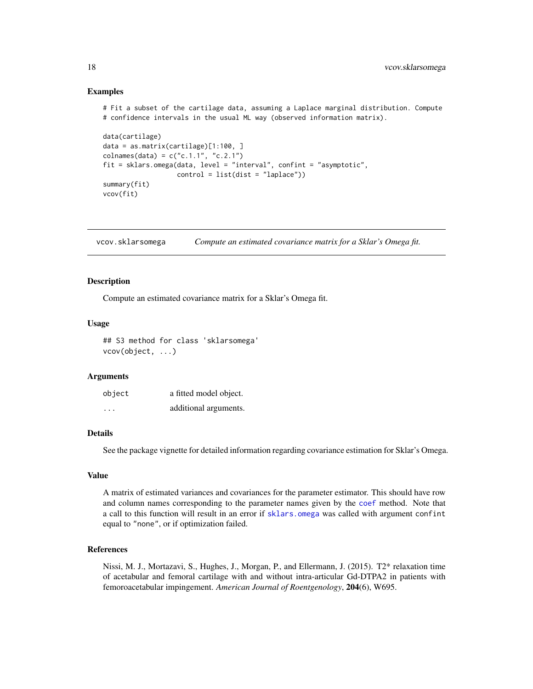#### Examples

```
# Fit a subset of the cartilage data, assuming a Laplace marginal distribution. Compute
# confidence intervals in the usual ML way (observed information matrix).
```

```
data(cartilage)
data = as.matrix(cartilage)[1:100, ]
colnames(data) = c("c.1.1", "c.2.1")fit = sklars.omega(data, level = "interval", confint = "asymptotic",
                   control = list(dist = "laplace"))summary(fit)
vcov(fit)
```
vcov.sklarsomega *Compute an estimated covariance matrix for a Sklar's Omega fit.*

#### **Description**

Compute an estimated covariance matrix for a Sklar's Omega fit.

#### Usage

```
## S3 method for class 'sklarsomega'
vcov(object, ...)
```
#### Arguments

| object  | a fitted model object. |
|---------|------------------------|
| $\cdot$ | additional arguments.  |

#### Details

See the package vignette for detailed information regarding covariance estimation for Sklar's Omega.

#### Value

A matrix of estimated variances and covariances for the parameter estimator. This should have row and column names corresponding to the parameter names given by the [coef](#page-0-0) method. Note that a call to this function will result in an error if [sklars.omega](#page-10-1) was called with argument confint equal to "none", or if optimization failed.

#### References

Nissi, M. J., Mortazavi, S., Hughes, J., Morgan, P., and Ellermann, J. (2015). T2\* relaxation time of acetabular and femoral cartilage with and without intra-articular Gd-DTPA2 in patients with femoroacetabular impingement. *American Journal of Roentgenology*, 204(6), W695.

<span id="page-17-0"></span>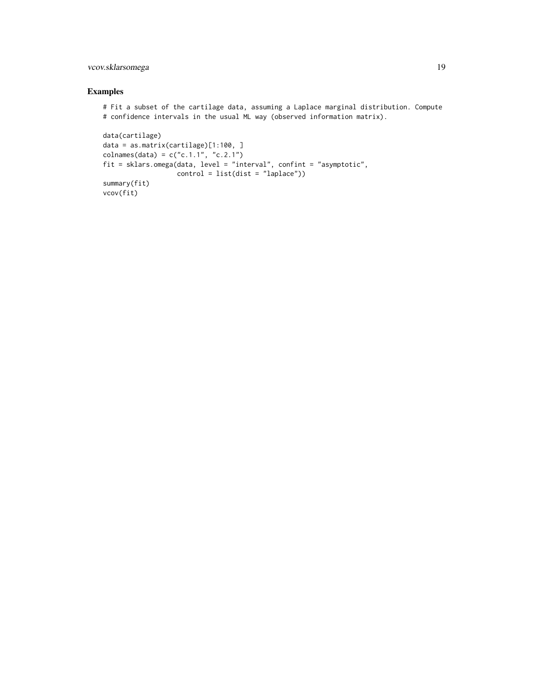### vcov.sklarsomega 19

### Examples

# Fit a subset of the cartilage data, assuming a Laplace marginal distribution. Compute # confidence intervals in the usual ML way (observed information matrix).

```
data(cartilage)
data = as.matrix(cartilage)[1:100, ]
colnames(data) = c("c.1.1", "c.2.1")fit = sklars.omega(data, level = "interval", confint = "asymptotic",
                  control = list(dist = "laplace"))summary(fit)
vcov(fit)
```